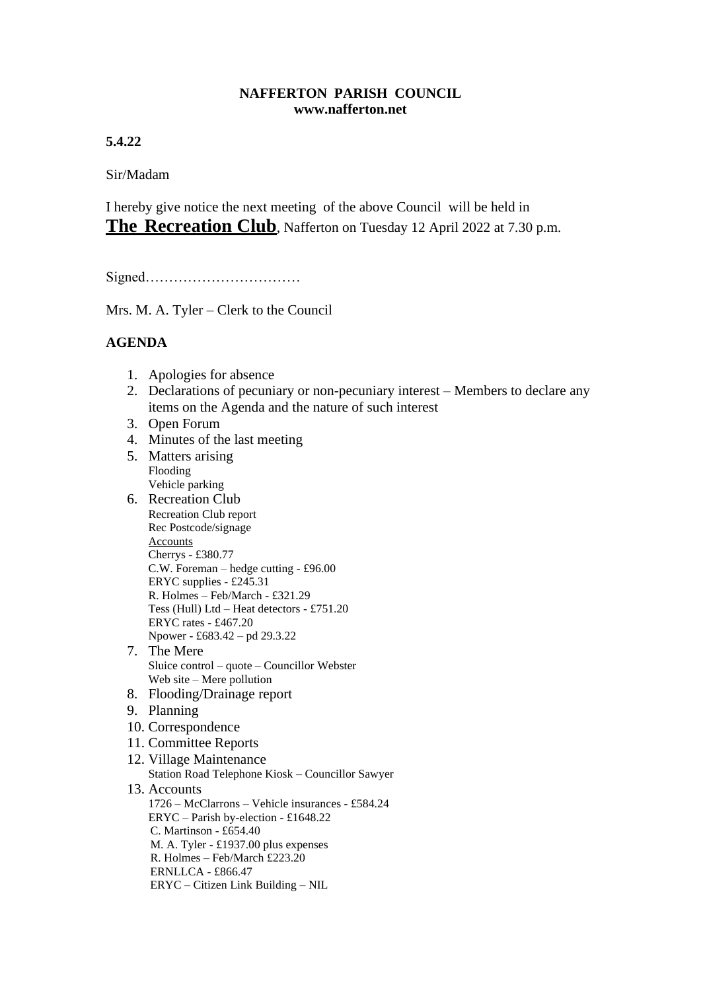## **NAFFERTON PARISH COUNCIL www.nafferton.net**

**5.4.22**

Sir/Madam

I hereby give notice the next meeting of the above Council will be held in **The Recreation Club**, Nafferton on Tuesday 12 April 2022 at 7.30 p.m.

Signed……………………………

Mrs. M. A. Tyler – Clerk to the Council

## **AGENDA**

- 1. Apologies for absence
- 2. Declarations of pecuniary or non-pecuniary interest Members to declare any items on the Agenda and the nature of such interest
- 3. Open Forum
- 4. Minutes of the last meeting
- 5. Matters arising Flooding Vehicle parking
- 6. Recreation Club Recreation Club report Rec Postcode/signage **Accounts** Cherrys - £380.77 C.W. Foreman – hedge cutting - £96.00 ERYC supplies - £245.31 R. Holmes – Feb/March - £321.29 Tess (Hull) Ltd – Heat detectors - £751.20 ERYC rates - £467.20 Npower - £683.42 – pd 29.3.22
- 7. The Mere Sluice control – quote – Councillor Webster Web site – Mere pollution
- 8. Flooding/Drainage report
- 9. Planning
- 10. Correspondence
- 11. Committee Reports
- 12. Village Maintenance Station Road Telephone Kiosk – Councillor Sawyer
- 13. Accounts
	- 1726 McClarrons Vehicle insurances £584.24 ERYC – Parish by-election - £1648.22 C. Martinson - £654.40 M. A. Tyler - £1937.00 plus expenses R. Holmes – Feb/March £223.20 ERNLLCA - £866.47 ERYC – Citizen Link Building – NIL